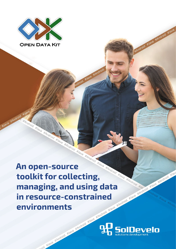

**#Android #Java #Android #Java** 

**An open-source toolkit for collecting, managing, and using data in resource-constrained environments in resource-constrained environments**

Indroid #Java #Andro



HAndroid Hlava HAndroid Hlava

HAndroid Hlav

id #Javoid #Java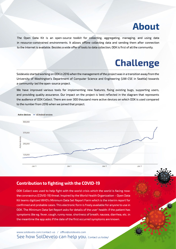## **About**

The Open Data Kit is an open-source toolkit for collecting, aggregating, managing, and using data in resource-constrained environments. It allows offline collecting data and sending them after connection to the Internet is available. Besides a wide offer of tools to data collection, ODK is first of all the community.

# **Challenge**

Soldevelo started working on ODK in 2016 when the management of the project was in a transition away from the University of Washington's Department of Computer Science and Engineering (UW-CSE in Seattle) towards a community-led the open-source project.

We have improved various tools for implementing new features, fixing existing bugs, supporting users, and providing quality assurance. Our impact on the project is best reflected in the diagram that represents the audience of ODK Collect. There are over 300 thousand more active devices on which ODK is used compared to the number from 2016 when we joined that project.



#### **Contribution to fighting with the COVID-19**

ODK Collect was used to help fight with the world crisis which the world is facing now: the coronavirus (COVID-19) threat. Inspired by the World Health Organization - Open Data Kit teams digitized WHO's Minimum Data Set Report Form which is the interim report for confirmed and probable cases. This electronic form is freely available for anyone to use in ODK. The Minimum Data Set Report asks for details of the user' health: if the patient has symptoms like eg.fever, cough, runny nose, shortness of breath, nausea, diarrhea, etc. in the meantime the app asks if the date of the first occurred symptoms are known.

See how SolDevelo can help you. Contact us today! www.soldevelo.com/contact-us / office@soldevelo.com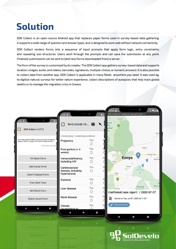# **Solution**

ODK Collect is an open-source Android app that replaces paper forms used in survey-based data gathering. It supports a wide range of question and answer types, and is designed to work well without network connectivity.

ODK Collect renders forms into a sequence of input prompts that apply form logic, entry constraints, and repeating sub-structures. Users work through the prompts and can save the submission at any point. Finalized submissions can be sentto (and new forms downloaded from) a server.

The form of the survey is customized by its creator. The ODK Collect app gathers survey-based data and supports location, images, audio, andvideos, barcodes, signatures, multiple-choice, ornumeric answers. Itis also possible to collect data from another app. ODK Collect is applicable in many fields- anywhere you need. It was used eg. to digitize natural surveys for better nature experience, collect descriptions of autopsies that help track global deaths or to manage the migration crisis in Greece.